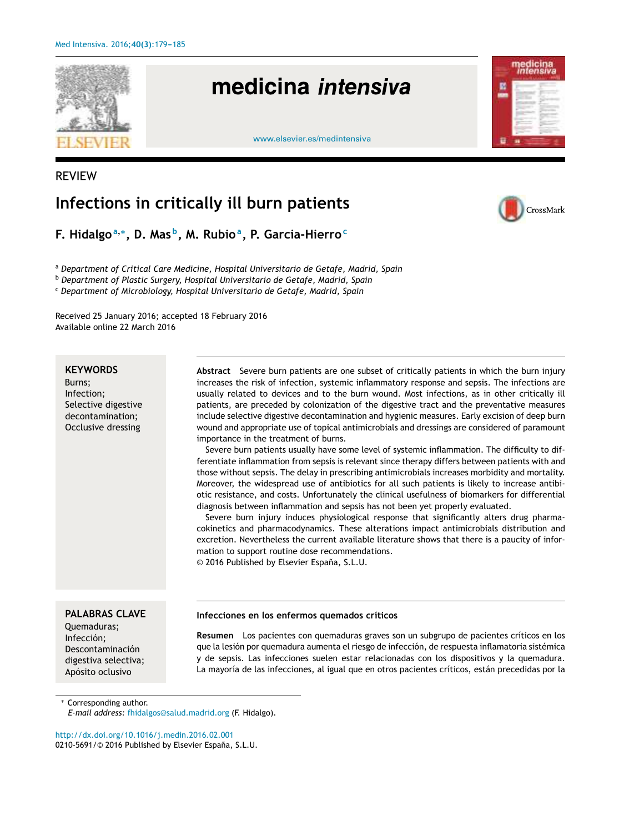

# **Infections in critically ill burn patients**

**F. Hidalgo<sup>a</sup>**,<sup>∗</sup> **, D. Mas <sup>b</sup> , M. Rubio<sup>a</sup> , P. Garcia-Hierro<sup>c</sup>**

<sup>a</sup> *Department of Critical Care Medicine, Hospital Universitario de Getafe, Madrid, Spain*

<sup>b</sup> *Department of Plastic Surgery, Hospital Universitario de Getafe, Madrid, Spain*

<sup>c</sup> *Department of Microbiology, Hospital Universitario de Getafe, Madrid, Spain*

Received 25 January 2016; accepted 18 February 2016 Available online 22 March 2016

## **KEYWORDS**

REVIEW

Burns; Infection; Selective digestive decontamination; Occlusive dressing

**Abstract** Severe burn patients are one subset of critically patients in which the burn injury increases the risk of infection, systemic inflammatory response and sepsis. The infections are usually related to devices and to the burn wound. Most infections, as in other critically ill patients, are preceded by colonization of the digestive tract and the preventative measures include selective digestive decontamination and hygienic measures. Early excision of deep burn wound and appropriate use of topical antimicrobials and dressings are considered of paramount importance in the treatment of burns.

Severe burn patients usually have some level of systemic inflammation. The difficulty to differentiate inflammation from sepsis is relevant since therapy differs between patients with and those without sepsis. The delay in prescribing antimicrobials increases morbidity and mortality. Moreover, the widespread use of antibiotics for all such patients is likely to increase antibiotic resistance, and costs. Unfortunately the clinical usefulness of biomarkers for differential diagnosis between inflammation and sepsis has not been yet properly evaluated.

Severe burn injury induces physiological response that significantly alters drug pharmacokinetics and pharmacodynamics. These alterations impact antimicrobials distribution and excretion. Nevertheless the current available literature shows that there is a paucity of information to support routine dose recommendations.

© 2016 Published by Elsevier España, S.L.U.

### **PALABRAS CLAVE**

Descontaminación digestiva selectiva; Apósito oclusivo

Quemaduras; Infección;

**Infecciones en los enfermos quemados críticos**

**Resumen** Los pacientes con quemaduras graves son un subgrupo de pacientes críticos en los que la lesión por quemadura aumenta el riesgo de infección, de respuesta inflamatoria sistémica y de sepsis. Las infecciones suelen estar relacionadas con los dispositivos y la quemadura. La mayoría de las infecciones, al igual que en otros pacientes críticos, están precedidas por la

Corresponding author.

*E-mail address:* [fhidalgos@salud.madrid.org](mailto:fhidalgos@salud.madrid.org) (F. Hidalgo).

[http://dx.doi.org/10.1016/j.medin.2016.02.001](dx.doi.org/10.1016/j.medin.2016.02.001) 0210-5691/© 2016 Published by Elsevier España, S.L.U. CrossMark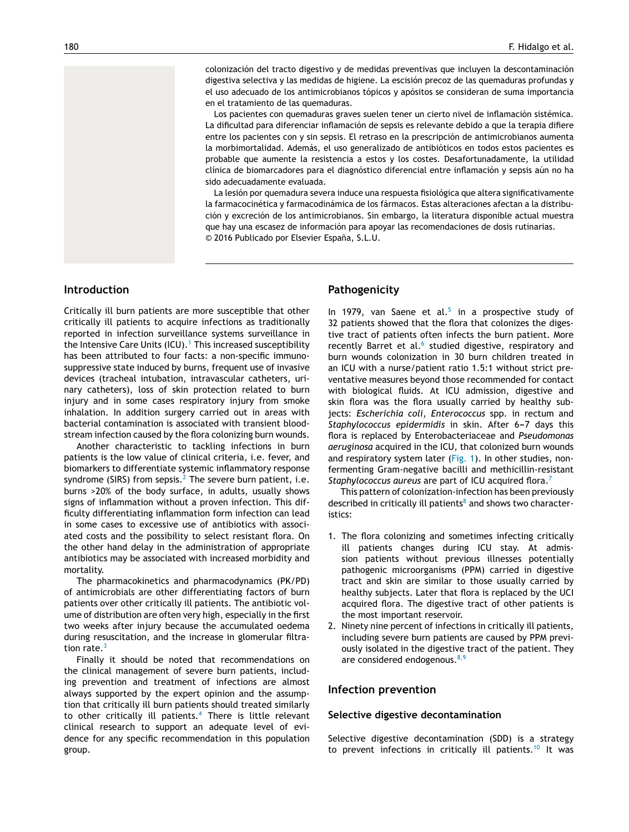colonización del tracto digestivo y de medidas preventivas que incluyen la descontaminación digestiva selectiva y las medidas de higiene. La escisión precoz de las quemaduras profundas y el uso adecuado de los antimicrobianos tópicos y apósitos se consideran de suma importancia en el tratamiento de las quemaduras.

Los pacientes con quemaduras graves suelen tener un cierto nivel de inflamación sistémica. La dificultad para diferenciar inflamación de sepsis es relevante debido a que la terapia difiere entre los pacientes con y sin sepsis. El retraso en la prescripción de antimicrobianos aumenta la morbimortalidad. Además, el uso generalizado de antibióticos en todos estos pacientes es probable que aumente la resistencia a estos y los costes. Desafortunadamente, la utilidad clínica de biomarcadores para el diagnóstico diferencial entre inflamación y sepsis aún no ha sido adecuadamente evaluada.

La lesión por quemadura severa induce una respuesta fisiológica que altera significativamente la farmacocinética y farmacodinámica de los fármacos. Estas alteraciones afectan a la distribución y excreción de los antimicrobianos. Sin embargo, la literatura disponible actual muestra que hay una escasez de información para apoyar las recomendaciones de dosis rutinarias. © 2016 Publicado por Elsevier España, S.L.U.

## **Introduction**

Critically ill burn patients are more susceptible that other critically ill patients to acquire infections as traditionally reported in infection surveillance systems surveillance in the Intensive Care Units  $(ICU)$ .<sup>1</sup> [T](#page-5-0)his increased susceptibility has been attributed to four facts: a non-specific immunosuppressive state induced by burns, frequent use of invasive devices (tracheal intubation, intravascular catheters, urinary catheters), loss of skin protection related to burn injury and in some cases respiratory injury from smoke inhalation. In addition surgery carried out in areas with bacterial contamination is associated with transient bloodstream infection caused by the flora colonizing burn wounds.

Another characteristic to tackling infections in burn patients is the low value of clinical criteria, i.e. fever, and biomarkers to differentiate systemic inflammatory response syndrome (SIRS) from sepsis.<sup>[2](#page-5-0)</sup> The severe burn patient, i.e. burns >20% of the body surface, in adults, usually shows signs of inflammation without a proven infection. This difficulty differentiating inflammation form infection can lead in some cases to excessive use of antibiotics with associated costs and the possibility to select resistant flora. On the other hand delay in the administration of appropriate antibiotics may be associated with increased morbidity and mortality.

The pharmacokinetics and pharmacodynamics (PK/PD) of antimicrobials are other differentiating factors of burn patients over other critically ill patients. The antibiotic volume of distribution are often very high, especially in the first two weeks after injury because the accumulated oedema during resuscitation, and the increase in glomerular filtration rate. $3$ 

Finally it should be noted that recommendations on the clinical management of severe burn patients, including prevention and treatment of infections are almost always supported by the expert opinion and the assumption that critically ill burn patients should treated similarly to other critically ill patients.<sup>[4](#page-5-0)</sup> There is little relevant clinical research to support an adequate level of evidence for any specific recommendation in this population group.

## **Pathogenicity**

In 1979, van Saene et al.<sup>[5](#page-5-0)</sup> in a prospective study of 32 patients showed that the flora that colonizes the digestive tract of patients often infects the burn patient. More recently Barret et al.<sup>[6](#page-5-0)</sup> studied digestive, respiratory and burn wounds colonization in 30 burn children treated in an ICU with a nurse/patient ratio 1.5:1 without strict preventative measures beyond those recommended for contact with biological fluids. At ICU admission, digestive and skin flora was the flora usually carried by healthy subjects: *Escherichia coli*, *Enterococcus* spp. in rectum and Staphylococcus epidermidis in skin. After 6-7 days this flora is replaced by Enterobacteriaceae and *Pseudomonas aeruginosa* acquired in the ICU, that colonized burn wounds and respiratory system later [\(Fig.](#page-2-0) 1). In other studies, nonfermenting Gram-negative bacilli and methicillin-resistant *Staphylococcus aureus* are part of ICU acquired flora.[7](#page-5-0)

This pattern of colonization-infection has been previously described in critic[a](#page-5-0)lly ill patients $8$  and shows two characteristics:

- 1. The flora colonizing and sometimes infecting critically ill patients changes during ICU stay. At admission patients without previous illnesses potentially pathogenic microorganisms (PPM) carried in digestive tract and skin are similar to those usually carried by healthy subjects. Later that flora is replaced by the UCI acquired flora. The digestive tract of other patients is the most important reservoir.
- 2. Ninety nine percent of infections in critically ill patients, including severe burn patients are caused by PPM previously isolated in the digestive tract of the patient. They are considered endogenous. $8,9$

#### **Infection prevention**

#### **Selective digestive decontamination**

Selective digestive decontamination (SDD) is a strategy to prevent infections in critically ill patients.<sup>[10](#page-5-0)</sup> It was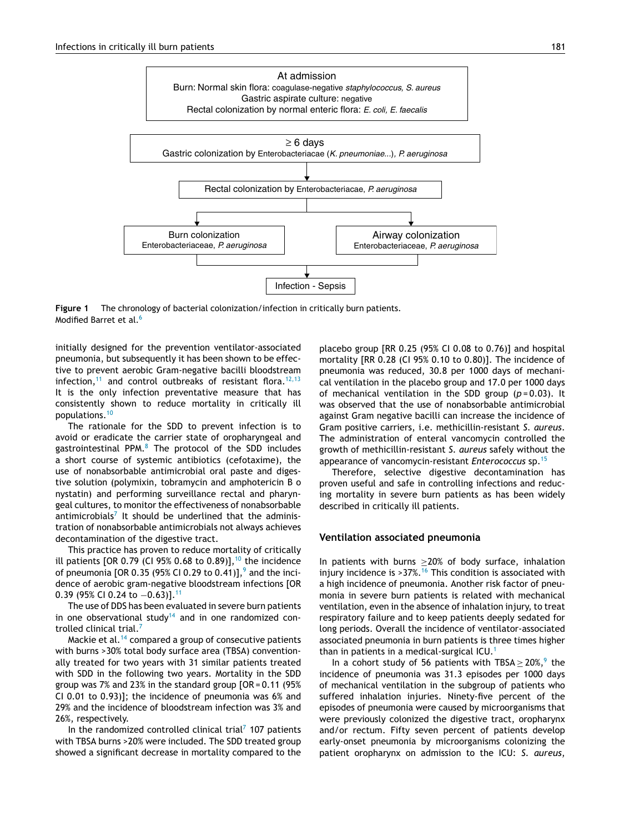<span id="page-2-0"></span>

**Figure 1** The chronology of bacterial colonization/infection in critically burn patients. Modified Barret et al.<sup>[6](#page-5-0)</sup>

initially designed for the prevention ventilator-associated pneumonia, but subsequently it has been shown to be effective to prevent aerobic Gram-negative bacilli bloodstream infection,<sup>[11](#page-5-0)</sup> and control outbreaks of resistant flora.<sup>[12,13](#page-5-0)</sup> It is the only infection preventative measure that has consistently shown to reduce mortality in critically ill populations.[10](#page-5-0)

The rationale for the SDD to prevent infection is to avoid or eradicate the carrier state of oropharyngeal and gastrointestinal PPM. $8$  The protocol of the SDD includes a short course of systemic antibiotics (cefotaxime), the use of nonabsorbable antimicrobial oral paste and digestive solution (polymixin, tobramycin and amphotericin B o nystatin) and performing surveillance rectal and pharyngeal cultures, to monitor the effectiveness of nonabsorbable antimicrobials<sup>[7](#page-5-0)</sup> It should be underlined that the administration of nonabsorbable antimicrobials not always achieves decontamination of the digestive tract.

This practice has proven to reduce mortality of critically ill patients [OR 0.79 (CI 95% 0.68 to 0.89)], $10$  the incidence of pneumoni[a](#page-5-0) [OR 0.35 (95% CI 0.29 to 0.41)],  $9$  and the incidence of aerobic gram-negative bloodstream infections [OR 0.39 (95% CI 0.24 to -0.63)].<sup>[11](#page-5-0)</sup>

The use of DDS has been evaluated in severe burn patients in one observational study<sup>[14](#page-5-0)</sup> and in one randomized con-trolled clinical trial.<sup>[7](#page-5-0)</sup>

Mackie et al.<sup>[14](#page-5-0)</sup> compared a group of consecutive patients with burns >30% total body surface area (TBSA) conventionally treated for two years with 31 similar patients treated with SDD in the following two years. Mortality in the SDD group was 7% and 23% in the standard group [OR = 0.11 (95% CI 0.01 to 0.93)]; the incidence of pneumonia was 6% and 29% and the incidence of bloodstream infection was 3% and 26%, respectively.

In the randomized controlled clinical trial<sup>7</sup> [1](#page-5-0)07 patients with TBSA burns >20% were included. The SDD treated group showed a significant decrease in mortality compared to the placebo group [RR 0.25 (95% CI 0.08 to 0.76)] and hospital mortality [RR 0.28 (CI 95% 0.10 to 0.80)]. The incidence of pneumonia was reduced, 30.8 per 1000 days of mechanical ventilation in the placebo group and 17.0 per 1000 days of mechanical ventilation in the SDD group (*p* = 0.03). It was observed that the use of nonabsorbable antimicrobial against Gram negative bacilli can increase the incidence of Gram positive carriers, i.e. methicillin-resistant *S. aureus*. The administration of enteral vancomycin controlled the growth of methicillin-resistant *S. aureus* safely without the appearance of vancomycin-resistant *Enterococcus* sp.[15](#page-5-0)

Therefore, selective digestive decontamination has proven useful and safe in controlling infections and reducing mortality in severe burn patients as has been widely described in critically ill patients.

#### **Ventilation associated pneumonia**

In patients with burns ≥20% of body surface, inhalation injury incidence is  $>37\%$ .<sup>[16](#page-5-0)</sup> This condition is associated with a high incidence of pneumonia. Another risk factor of pneumonia in severe burn patients is related with mechanical ventilation, even in the absence of inhalation injury, to treat respiratory failure and to keep patients deeply sedated for long periods. Overall the incidence of ventilator-associated associated pneumonia in burn patients is three times higher than in patients in a medical-surgical  $ICU<sup>1</sup>$  $ICU<sup>1</sup>$  $ICU<sup>1</sup>$ 

In a cohort study of 56 patients with TBSA  $\geq$  20%,<sup>[9](#page-5-0)</sup> the incidence of pneumonia was 31.3 episodes per 1000 days of mechanical ventilation in the subgroup of patients who suffered inhalation injuries. Ninety-five percent of the episodes of pneumonia were caused by microorganisms that were previously colonized the digestive tract, oropharynx and/or rectum. Fifty seven percent of patients develop early-onset pneumonia by microorganisms colonizing the patient oropharynx on admission to the ICU: *S. aureus*,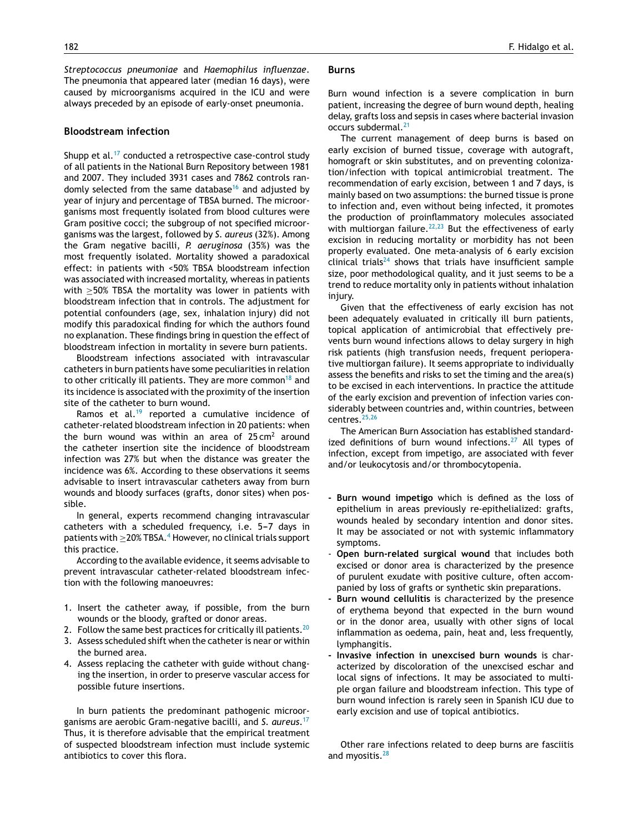*Streptococcus pneumoniae* and *Haemophilus influenzae*. The pneumonia that appeared later (median 16 days), were caused by microorganisms acquired in the ICU and were always preceded by an episode of early-onset pneumonia.

## **Bloodstream infection**

Shupp et al.<sup>[17](#page-5-0)</sup> conducted a retrospective case-control study of all patients in the National Burn Repository between 1981 and 2007. They included 3931 cases and 7862 controls ran-domly selected from the same database<sup>[16](#page-5-0)</sup> and adjusted by year of injury and percentage of TBSA burned. The microorganisms most frequently isolated from blood cultures were Gram positive cocci; the subgroup of not specified microorganisms was the largest, followed by *S. aureus* (32%). Among the Gram negative bacilli, *P. aeruginosa* (35%) was the most frequently isolated. Mortality showed a paradoxical effect: in patients with <50% TBSA bloodstream infection was associated with increased mortality, whereas in patients with >50% TBSA the mortality was lower in patients with bloodstream infection that in controls. The adjustment for potential confounders (age, sex, inhalation injury) did not modify this paradoxical finding for which the authors found no explanation. These findings bring in question the effect of bloodstream infection in mortality in severe burn patients.

Bloodstream infections associated with intravascular catheters in burn patients have some peculiarities in relation to other critically ill patients. They are more common<sup>[18](#page-5-0)</sup> and its incidence is associated with the proximity of the insertion site of the catheter to burn wound.

Ramos et al.<sup>[19](#page-6-0)</sup> reported a cumulative incidence of catheter-related bloodstream infection in 20 patients: when the burn wound was within an area of  $25 \text{ cm}^2$  around the catheter insertion site the incidence of bloodstream infection was 27% but when the distance was greater the incidence was 6%. According to these observations it seems advisable to insert intravascular catheters away from burn wounds and bloody surfaces (grafts, donor sites) when possible.

In general, experts recommend changing intravascular catheters with a scheduled frequency, i.e. 5-7 days in patients with  $>$  20% TBSA.<sup>4</sup> [H](#page-5-0)owever, no clinical trials support this practice.

According to the available evidence, it seems advisable to prevent intravascular catheter-related bloodstream infection with the following manoeuvres:

- 1. Insert the catheter away, if possible, from the burn wounds or the bloody, grafted or donor areas.
- 2. Follow the same best practices for critically ill patients.<sup>[20](#page-6-0)</sup>
- 3. Assess scheduled shift when the catheter is near or within the burned area.
- 4. Assess replacing the catheter with guide without changing the insertion, in order to preserve vascular access for possible future insertions.

In burn patients the predominant pathogenic microorganisms are aerobic Gram-negative bacilli, and *S. aureus*. [17](#page-5-0) Thus, it is therefore advisable that the empirical treatment of suspected bloodstream infection must include systemic antibiotics to cover this flora.

#### **Burns**

Burn wound infection is a severe complication in burn patient, increasing the degree of burn wound depth, healing delay, grafts loss and sepsis in cases where bacterial invasion occurs subdermal.<sup>[21](#page-6-0)</sup>

The current management of deep burns is based on early excision of burned tissue, coverage with autograft, homograft or skin substitutes, and on preventing colonization/infection with topical antimicrobial treatment. The recommendation of early excision, between 1 and 7 days, is mainly based on two assumptions: the burned tissue is prone to infection and, even without being infected, it promotes the production of proinflammatory molecules associated with multiorgan failure.<sup>[22,23](#page-6-0)</sup> But the effectiveness of early excision in reducing mortality or morbidity has not been properly evaluated. One meta-analysis of 6 early excision clinical trials<sup>[24](#page-6-0)</sup> shows that trials have insufficient sample size, poor methodological quality, and it just seems to be a trend to reduce mortality only in patients without inhalation injury.

Given that the effectiveness of early excision has not been adequately evaluated in critically ill burn patients, topical application of antimicrobial that effectively prevents burn wound infections allows to delay surgery in high risk patients (high transfusion needs, frequent perioperative multiorgan failure). It seems appropriate to individually assess the benefits and risks to set the timing and the area(s) to be excised in each interventions. In practice the attitude of the early excision and prevention of infection varies considerably between countries and, within countries, between centres.<sup>[25,26](#page-6-0)</sup>

The American Burn Association has established standardized definitions of burn wound infections. $^{27}$  $^{27}$  $^{27}$  All types of infection, except from impetigo, are associated with fever and/or leukocytosis and/or thrombocytopenia.

- **- Burn wound impetigo** which is defined as the loss of epithelium in areas previously re-epithelialized: grafts, wounds healed by secondary intention and donor sites. It may be associated or not with systemic inflammatory symptoms.
- **Open burn-related surgical wound** that includes both excised or donor area is characterized by the presence of purulent exudate with positive culture, often accompanied by loss of grafts or synthetic skin preparations.
- **- Burn wound cellulitis** is characterized by the presence of erythema beyond that expected in the burn wound or in the donor area, usually with other signs of local inflammation as oedema, pain, heat and, less frequently, lymphangitis.
- **- Invasive infection in unexcised burn wounds** is characterized by discoloration of the unexcised eschar and local signs of infections. It may be associated to multiple organ failure and bloodstream infection. This type of burn wound infection is rarely seen in Spanish ICU due to early excision and use of topical antibiotics.

Other rare infections related to deep burns are fasciitis and myositis.<sup>[28](#page-6-0)</sup>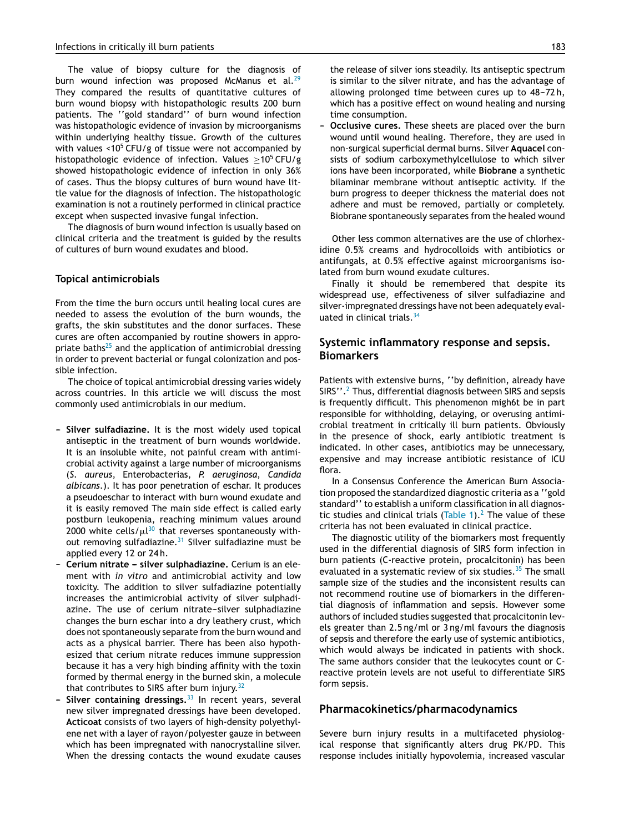The value of biopsy culture for the diagnosis of burn wound infection was proposed McManus et al.<sup>[29](#page-6-0)</sup> They compared the results of quantitative cultures of burn wound biopsy with histopathologic results 200 burn patients. The ''gold standard'' of burn wound infection was histopathologic evidence of invasion by microorganisms within underlying healthy tissue. Growth of the cultures with values  $\langle 10^5$  CFU/g of tissue were not accompanied by histopathologic evidence of infection. Values  $>10^5$  CFU/g showed histopathologic evidence of infection in only 36% of cases. Thus the biopsy cultures of burn wound have little value for the diagnosis of infection. The histopathologic examination is not a routinely performed in clinical practice except when suspected invasive fungal infection.

The diagnosis of burn wound infection is usually based on clinical criteria and the treatment is guided by the results of cultures of burn wound exudates and blood.

#### **Topical antimicrobials**

From the time the burn occurs until healing local cures are needed to assess the evolution of the burn wounds, the grafts, the skin substitutes and the donor surfaces. These cures are often accompanied by routine showers in appro-priate baths<sup>[25](#page-6-0)</sup> and the application of antimicrobial dressing in order to prevent bacterial or fungal colonization and possible infection.

The choice of topical antimicrobial dressing varies widely across countries. In this article we will discuss the most commonly used antimicrobials in our medium.

- Silver sulfadiazine. It is the most widely used topical antiseptic in the treatment of burn wounds worldwide. It is an insoluble white, not painful cream with antimicrobial activity against a large number of microorganisms (*S. aureus*, Enterobacterias, *P. aeruginosa*, *Candida albicans*.). It has poor penetration of eschar. It produces a pseudoeschar to interact with burn wound exudate and it is easily removed The main side effect is called early postburn leukopenia, reaching minimum values around 2000 white cells/ $\mu$ l $^{30}$  $^{30}$  $^{30}$  that reverses spontaneously without removing sulfadiazine. $31$  Silver sulfadiazine must be applied every 12 or 24 h.
- **Cerium nitrate silver sulphadiazine.** Cerium is an element with *in vitro* and antimicrobial activity and low toxicity. The addition to silver sulfadiazine potentially increases the antimicrobial activity of silver sulphadiazine. The use of cerium nitrate-silver sulphadiazine changes the burn eschar into a dry leathery crust, which does not spontaneously separate from the burn wound and acts as a physical barrier. There has been also hypothesized that cerium nitrate reduces immune suppression because it has a very high binding affinity with the toxin formed by thermal energy in the burned skin, a molecule that contributes to SIRS after burn injury. $32$
- Silver containing dressings.<sup>[33](#page-6-0)</sup> In recent years, several new silver impregnated dressings have been developed. **Acticoat** consists of two layers of high-density polyethylene net with a layer of rayon/polyester gauze in between which has been impregnated with nanocrystalline silver. When the dressing contacts the wound exudate causes

the release of silver ions steadily. Its antiseptic spectrum is similar to the silver nitrate, and has the advantage of allowing prolonged time between cures up to 48-72h, which has a positive effect on wound healing and nursing time consumption.

Occlusive cures. These sheets are placed over the burn wound until wound healing. Therefore, they are used in non-surgical superficial dermal burns. Silver **Aquacel** consists of sodium carboxymethylcellulose to which silver ions have been incorporated, while **Biobrane** a synthetic bilaminar membrane without antiseptic activity. If the burn progress to deeper thickness the material does not adhere and must be removed, partially or completely. Biobrane spontaneously separates from the healed wound

Other less common alternatives are the use of chlorhexidine 0.5% creams and hydrocolloids with antibiotics or antifungals, at 0.5% effective against microorganisms isolated from burn wound exudate cultures.

Finally it should be remembered that despite its widespread use, effectiveness of silver sulfadiazine and silver-impregnated dressings have not been adequately eval-uated in clinical trials.<sup>[34](#page-6-0)</sup>

# **Systemic inflammatory response and sepsis. Biomarkers**

Patients with extensive burns, ''by definition, already have SIRS''.<sup>2</sup> [T](#page-5-0)hus, differential diagnosis between SIRS and sepsis is frequently difficult. This phenomenon migh6t be in part responsible for withholding, delaying, or overusing antimicrobial treatment in critically ill burn patients. Obviously in the presence of shock, early antibiotic treatment is indicated. In other cases, antibiotics may be unnecessary, expensive and may increase antibiotic resistance of ICU flora.

In a Consensus Conference the American Burn Association proposed the standardized diagnostic criteria as a ''gold standard'' to establish a uniform classification in all diagnos-tic studies and clinical trials ([Table](#page-5-0) 1).<sup>[2](#page-5-0)</sup> The value of these criteria has not been evaluated in clinical practice.

The diagnostic utility of the biomarkers most frequently used in the differential diagnosis of SIRS form infection in burn patients (C-reactive protein, procalcitonin) has been evaluated in a systematic review of six studies. $35$  The small sample size of the studies and the inconsistent results can not recommend routine use of biomarkers in the differential diagnosis of inflammation and sepsis. However some authors of included studies suggested that procalcitonin levels greater than 2.5 ng/ml or 3 ng/ml favours the diagnosis of sepsis and therefore the early use of systemic antibiotics, which would always be indicated in patients with shock. The same authors consider that the leukocytes count or Creactive protein levels are not useful to differentiate SIRS form sepsis.

## **Pharmacokinetics/pharmacodynamics**

Severe burn injury results in a multifaceted physiological response that significantly alters drug PK/PD. This response includes initially hypovolemia, increased vascular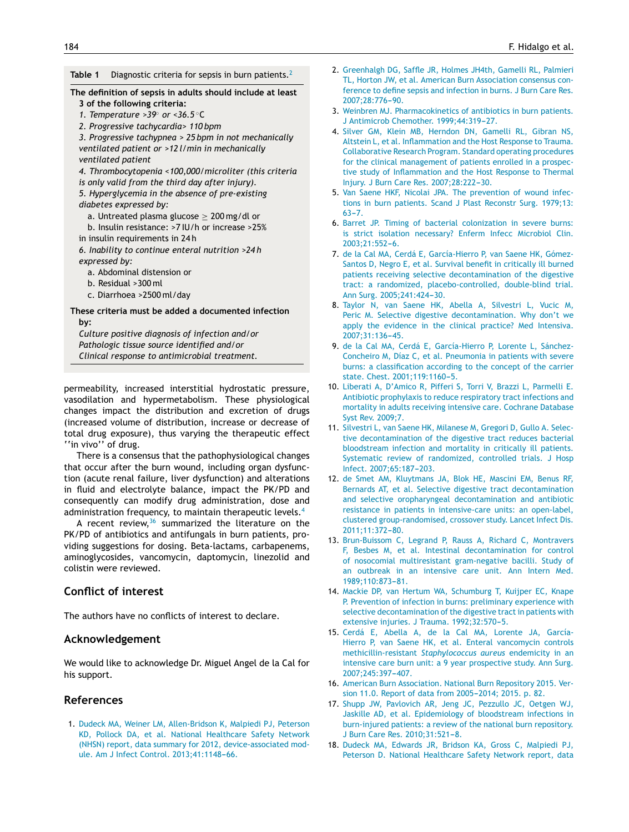<span id="page-5-0"></span>**Table 1** Diagnostic criteria for sepsis in burn patients.<sup>2</sup>

- **The definition of sepsis in adults should include at least 3 of the following criteria:**
	- *1. Temperature >39 or <36.5* ◦C
	- *2. Progressive tachycardia> 110 bpm*
	- *3. Progressive tachypnea > 25 bpm in not mechanically ventilated patient or >12 l/min in mechanically*
	- *ventilated patient*

*4. Thrombocytopenia <100,000/microliter (this criteria*

*is only valid from the third day after injury).*

*5. Hyperglycemia in the absence of pre-existing diabetes expressed by:*

- a. Untreated plasma glucose  $\geq 200$  mg/dl or
- b. Insulin resistance: >7 IU/h or increase >25% in insulin requirements in 24 h
- 

*6. Inability to continue enteral nutrition >24 h expressed by:*

- a. Abdominal distension or
- b. Residual >300 ml
- c. Diarrhoea >2500 ml/day

**These criteria must be added a documented infection by:**

*Culture positive diagnosis of infection and/or Pathologic tissue source identified and/or Clinical response to antimicrobial treatment.*

permeability, increased interstitial hydrostatic pressure, vasodilation and hypermetabolism. These physiological changes impact the distribution and excretion of drugs (increased volume of distribution, increase or decrease of total drug exposure), thus varying the therapeutic effect ''in vivo'' of drug.

There is a consensus that the pathophysiological changes that occur after the burn wound, including organ dysfunction (acute renal failure, liver dysfunction) and alterations in fluid and electrolyte balance, impact the PK/PD and consequently can modify drug administration, dose and administration frequency, to maintain therapeutic levels.<sup>4</sup>

A recent review,  $36$  summarized the literature on the PK/PD of antibiotics and antifungals in burn patients, providing suggestions for dosing. Beta-lactams, carbapenems, aminoglycosides, vancomycin, daptomycin, linezolid and colistin were reviewed.

# **Conflict of interest**

The authors have no conflicts of interest to declare.

# **Acknowledgement**

We would like to acknowledge Dr. Miguel Angel de la Cal for his support.

## **References**

1. [Dudeck](http://refhub.elsevier.com/S0210-5691(16)00053-X/sbref0185) [MA,](http://refhub.elsevier.com/S0210-5691(16)00053-X/sbref0185) [Weiner](http://refhub.elsevier.com/S0210-5691(16)00053-X/sbref0185) [LM,](http://refhub.elsevier.com/S0210-5691(16)00053-X/sbref0185) [Allen-Bridson](http://refhub.elsevier.com/S0210-5691(16)00053-X/sbref0185) [K,](http://refhub.elsevier.com/S0210-5691(16)00053-X/sbref0185) [Malpiedi](http://refhub.elsevier.com/S0210-5691(16)00053-X/sbref0185) [PJ,](http://refhub.elsevier.com/S0210-5691(16)00053-X/sbref0185) [Peterson](http://refhub.elsevier.com/S0210-5691(16)00053-X/sbref0185) [KD,](http://refhub.elsevier.com/S0210-5691(16)00053-X/sbref0185) [Pollock](http://refhub.elsevier.com/S0210-5691(16)00053-X/sbref0185) [DA,](http://refhub.elsevier.com/S0210-5691(16)00053-X/sbref0185) [et](http://refhub.elsevier.com/S0210-5691(16)00053-X/sbref0185) [al.](http://refhub.elsevier.com/S0210-5691(16)00053-X/sbref0185) [National](http://refhub.elsevier.com/S0210-5691(16)00053-X/sbref0185) [Healthcare](http://refhub.elsevier.com/S0210-5691(16)00053-X/sbref0185) [Safety](http://refhub.elsevier.com/S0210-5691(16)00053-X/sbref0185) [Network](http://refhub.elsevier.com/S0210-5691(16)00053-X/sbref0185) [\(NHSN\)](http://refhub.elsevier.com/S0210-5691(16)00053-X/sbref0185) [report,](http://refhub.elsevier.com/S0210-5691(16)00053-X/sbref0185) [data](http://refhub.elsevier.com/S0210-5691(16)00053-X/sbref0185) [summary](http://refhub.elsevier.com/S0210-5691(16)00053-X/sbref0185) [for](http://refhub.elsevier.com/S0210-5691(16)00053-X/sbref0185) [2012,](http://refhub.elsevier.com/S0210-5691(16)00053-X/sbref0185) [device-associated](http://refhub.elsevier.com/S0210-5691(16)00053-X/sbref0185) [mod](http://refhub.elsevier.com/S0210-5691(16)00053-X/sbref0185)[ule.](http://refhub.elsevier.com/S0210-5691(16)00053-X/sbref0185) [Am](http://refhub.elsevier.com/S0210-5691(16)00053-X/sbref0185) [J](http://refhub.elsevier.com/S0210-5691(16)00053-X/sbref0185) [Infect](http://refhub.elsevier.com/S0210-5691(16)00053-X/sbref0185) [Control.](http://refhub.elsevier.com/S0210-5691(16)00053-X/sbref0185) 2013;41:1148-66.

- 2. [Greenhalgh](http://refhub.elsevier.com/S0210-5691(16)00053-X/sbref0190) [DG,](http://refhub.elsevier.com/S0210-5691(16)00053-X/sbref0190) [Saffle](http://refhub.elsevier.com/S0210-5691(16)00053-X/sbref0190) [JR,](http://refhub.elsevier.com/S0210-5691(16)00053-X/sbref0190) [Holmes](http://refhub.elsevier.com/S0210-5691(16)00053-X/sbref0190) [JH4th,](http://refhub.elsevier.com/S0210-5691(16)00053-X/sbref0190) [Gamelli](http://refhub.elsevier.com/S0210-5691(16)00053-X/sbref0190) [RL,](http://refhub.elsevier.com/S0210-5691(16)00053-X/sbref0190) [Palmieri](http://refhub.elsevier.com/S0210-5691(16)00053-X/sbref0190) [TL,](http://refhub.elsevier.com/S0210-5691(16)00053-X/sbref0190) [Horton](http://refhub.elsevier.com/S0210-5691(16)00053-X/sbref0190) [JW,](http://refhub.elsevier.com/S0210-5691(16)00053-X/sbref0190) [et](http://refhub.elsevier.com/S0210-5691(16)00053-X/sbref0190) [al.](http://refhub.elsevier.com/S0210-5691(16)00053-X/sbref0190) [American](http://refhub.elsevier.com/S0210-5691(16)00053-X/sbref0190) [Burn](http://refhub.elsevier.com/S0210-5691(16)00053-X/sbref0190) [Association](http://refhub.elsevier.com/S0210-5691(16)00053-X/sbref0190) [consensus](http://refhub.elsevier.com/S0210-5691(16)00053-X/sbref0190) [con](http://refhub.elsevier.com/S0210-5691(16)00053-X/sbref0190)[ference](http://refhub.elsevier.com/S0210-5691(16)00053-X/sbref0190) [to](http://refhub.elsevier.com/S0210-5691(16)00053-X/sbref0190) [define](http://refhub.elsevier.com/S0210-5691(16)00053-X/sbref0190) [sepsis](http://refhub.elsevier.com/S0210-5691(16)00053-X/sbref0190) [and](http://refhub.elsevier.com/S0210-5691(16)00053-X/sbref0190) [infection](http://refhub.elsevier.com/S0210-5691(16)00053-X/sbref0190) [in](http://refhub.elsevier.com/S0210-5691(16)00053-X/sbref0190) [burns.](http://refhub.elsevier.com/S0210-5691(16)00053-X/sbref0190) [J](http://refhub.elsevier.com/S0210-5691(16)00053-X/sbref0190) [Burn](http://refhub.elsevier.com/S0210-5691(16)00053-X/sbref0190) [Care](http://refhub.elsevier.com/S0210-5691(16)00053-X/sbref0190) [Res.](http://refhub.elsevier.com/S0210-5691(16)00053-X/sbref0190) 2007:28:776-90.
- 3. [Weinbren](http://refhub.elsevier.com/S0210-5691(16)00053-X/sbref0195) [MJ.](http://refhub.elsevier.com/S0210-5691(16)00053-X/sbref0195) [Pharmacokinetics](http://refhub.elsevier.com/S0210-5691(16)00053-X/sbref0195) [of](http://refhub.elsevier.com/S0210-5691(16)00053-X/sbref0195) [antibiotics](http://refhub.elsevier.com/S0210-5691(16)00053-X/sbref0195) [in](http://refhub.elsevier.com/S0210-5691(16)00053-X/sbref0195) [burn](http://refhub.elsevier.com/S0210-5691(16)00053-X/sbref0195) [patients.](http://refhub.elsevier.com/S0210-5691(16)00053-X/sbref0195) [J](http://refhub.elsevier.com/S0210-5691(16)00053-X/sbref0195) [Antimicrob](http://refhub.elsevier.com/S0210-5691(16)00053-X/sbref0195) [Chemother.](http://refhub.elsevier.com/S0210-5691(16)00053-X/sbref0195) 1999;44:319-27.
- 4. [Silver](http://refhub.elsevier.com/S0210-5691(16)00053-X/sbref0200) [GM,](http://refhub.elsevier.com/S0210-5691(16)00053-X/sbref0200) [Klein](http://refhub.elsevier.com/S0210-5691(16)00053-X/sbref0200) [MB,](http://refhub.elsevier.com/S0210-5691(16)00053-X/sbref0200) [Herndon](http://refhub.elsevier.com/S0210-5691(16)00053-X/sbref0200) [DN,](http://refhub.elsevier.com/S0210-5691(16)00053-X/sbref0200) [Gamelli](http://refhub.elsevier.com/S0210-5691(16)00053-X/sbref0200) [RL,](http://refhub.elsevier.com/S0210-5691(16)00053-X/sbref0200) [Gibran](http://refhub.elsevier.com/S0210-5691(16)00053-X/sbref0200) [NS,](http://refhub.elsevier.com/S0210-5691(16)00053-X/sbref0200) [Altstein](http://refhub.elsevier.com/S0210-5691(16)00053-X/sbref0200) [L,](http://refhub.elsevier.com/S0210-5691(16)00053-X/sbref0200) [et](http://refhub.elsevier.com/S0210-5691(16)00053-X/sbref0200) [al.](http://refhub.elsevier.com/S0210-5691(16)00053-X/sbref0200) [Inflammation](http://refhub.elsevier.com/S0210-5691(16)00053-X/sbref0200) [and](http://refhub.elsevier.com/S0210-5691(16)00053-X/sbref0200) [the](http://refhub.elsevier.com/S0210-5691(16)00053-X/sbref0200) [Host](http://refhub.elsevier.com/S0210-5691(16)00053-X/sbref0200) [Response](http://refhub.elsevier.com/S0210-5691(16)00053-X/sbref0200) [to](http://refhub.elsevier.com/S0210-5691(16)00053-X/sbref0200) [Trauma.](http://refhub.elsevier.com/S0210-5691(16)00053-X/sbref0200) [Collaborative](http://refhub.elsevier.com/S0210-5691(16)00053-X/sbref0200) [Research](http://refhub.elsevier.com/S0210-5691(16)00053-X/sbref0200) [Program.](http://refhub.elsevier.com/S0210-5691(16)00053-X/sbref0200) [Standard](http://refhub.elsevier.com/S0210-5691(16)00053-X/sbref0200) [operating](http://refhub.elsevier.com/S0210-5691(16)00053-X/sbref0200) [procedures](http://refhub.elsevier.com/S0210-5691(16)00053-X/sbref0200) [for](http://refhub.elsevier.com/S0210-5691(16)00053-X/sbref0200) [the](http://refhub.elsevier.com/S0210-5691(16)00053-X/sbref0200) [clinical](http://refhub.elsevier.com/S0210-5691(16)00053-X/sbref0200) [management](http://refhub.elsevier.com/S0210-5691(16)00053-X/sbref0200) [of](http://refhub.elsevier.com/S0210-5691(16)00053-X/sbref0200) [patients](http://refhub.elsevier.com/S0210-5691(16)00053-X/sbref0200) [enrolled](http://refhub.elsevier.com/S0210-5691(16)00053-X/sbref0200) [in](http://refhub.elsevier.com/S0210-5691(16)00053-X/sbref0200) [a](http://refhub.elsevier.com/S0210-5691(16)00053-X/sbref0200) [prospec](http://refhub.elsevier.com/S0210-5691(16)00053-X/sbref0200)[tive](http://refhub.elsevier.com/S0210-5691(16)00053-X/sbref0200) [study](http://refhub.elsevier.com/S0210-5691(16)00053-X/sbref0200) [of](http://refhub.elsevier.com/S0210-5691(16)00053-X/sbref0200) [Inflammation](http://refhub.elsevier.com/S0210-5691(16)00053-X/sbref0200) [and](http://refhub.elsevier.com/S0210-5691(16)00053-X/sbref0200) [the](http://refhub.elsevier.com/S0210-5691(16)00053-X/sbref0200) [Host](http://refhub.elsevier.com/S0210-5691(16)00053-X/sbref0200) [Response](http://refhub.elsevier.com/S0210-5691(16)00053-X/sbref0200) [to](http://refhub.elsevier.com/S0210-5691(16)00053-X/sbref0200) [Thermal](http://refhub.elsevier.com/S0210-5691(16)00053-X/sbref0200) [Injury.](http://refhub.elsevier.com/S0210-5691(16)00053-X/sbref0200) [J](http://refhub.elsevier.com/S0210-5691(16)00053-X/sbref0200) [Burn](http://refhub.elsevier.com/S0210-5691(16)00053-X/sbref0200) [Care](http://refhub.elsevier.com/S0210-5691(16)00053-X/sbref0200) [Res.](http://refhub.elsevier.com/S0210-5691(16)00053-X/sbref0200) 2007;28:222-30.
- 5. [Van](http://refhub.elsevier.com/S0210-5691(16)00053-X/sbref0205) [Saene](http://refhub.elsevier.com/S0210-5691(16)00053-X/sbref0205) [HKF,](http://refhub.elsevier.com/S0210-5691(16)00053-X/sbref0205) [Nicolai](http://refhub.elsevier.com/S0210-5691(16)00053-X/sbref0205) [JPA.](http://refhub.elsevier.com/S0210-5691(16)00053-X/sbref0205) [The](http://refhub.elsevier.com/S0210-5691(16)00053-X/sbref0205) [prevention](http://refhub.elsevier.com/S0210-5691(16)00053-X/sbref0205) [of](http://refhub.elsevier.com/S0210-5691(16)00053-X/sbref0205) [wound](http://refhub.elsevier.com/S0210-5691(16)00053-X/sbref0205) [infec](http://refhub.elsevier.com/S0210-5691(16)00053-X/sbref0205)[tions](http://refhub.elsevier.com/S0210-5691(16)00053-X/sbref0205) [in](http://refhub.elsevier.com/S0210-5691(16)00053-X/sbref0205) [burn](http://refhub.elsevier.com/S0210-5691(16)00053-X/sbref0205) [patients.](http://refhub.elsevier.com/S0210-5691(16)00053-X/sbref0205) [Scand](http://refhub.elsevier.com/S0210-5691(16)00053-X/sbref0205) [J](http://refhub.elsevier.com/S0210-5691(16)00053-X/sbref0205) [Plast](http://refhub.elsevier.com/S0210-5691(16)00053-X/sbref0205) [Reconstr](http://refhub.elsevier.com/S0210-5691(16)00053-X/sbref0205) [Surg.](http://refhub.elsevier.com/S0210-5691(16)00053-X/sbref0205) [1979;13:](http://refhub.elsevier.com/S0210-5691(16)00053-X/sbref0205)  $63 - 7$  $63 - 7$ .
- 6. [Barret](http://refhub.elsevier.com/S0210-5691(16)00053-X/sbref0210) [JP.](http://refhub.elsevier.com/S0210-5691(16)00053-X/sbref0210) [Timing](http://refhub.elsevier.com/S0210-5691(16)00053-X/sbref0210) [of](http://refhub.elsevier.com/S0210-5691(16)00053-X/sbref0210) [bacterial](http://refhub.elsevier.com/S0210-5691(16)00053-X/sbref0210) [colonization](http://refhub.elsevier.com/S0210-5691(16)00053-X/sbref0210) [in](http://refhub.elsevier.com/S0210-5691(16)00053-X/sbref0210) [severe](http://refhub.elsevier.com/S0210-5691(16)00053-X/sbref0210) [burns:](http://refhub.elsevier.com/S0210-5691(16)00053-X/sbref0210) [is](http://refhub.elsevier.com/S0210-5691(16)00053-X/sbref0210) [strict](http://refhub.elsevier.com/S0210-5691(16)00053-X/sbref0210) [isolation](http://refhub.elsevier.com/S0210-5691(16)00053-X/sbref0210) [necessary?](http://refhub.elsevier.com/S0210-5691(16)00053-X/sbref0210) [Enferm](http://refhub.elsevier.com/S0210-5691(16)00053-X/sbref0210) [Infecc](http://refhub.elsevier.com/S0210-5691(16)00053-X/sbref0210) [Microbiol](http://refhub.elsevier.com/S0210-5691(16)00053-X/sbref0210) [Clin.](http://refhub.elsevier.com/S0210-5691(16)00053-X/sbref0210)  $2003:21:552-6.$  $2003:21:552-6.$
- 7. [de](http://refhub.elsevier.com/S0210-5691(16)00053-X/sbref0215) [la](http://refhub.elsevier.com/S0210-5691(16)00053-X/sbref0215) [Cal](http://refhub.elsevier.com/S0210-5691(16)00053-X/sbref0215) [MA,](http://refhub.elsevier.com/S0210-5691(16)00053-X/sbref0215) [Cerdá](http://refhub.elsevier.com/S0210-5691(16)00053-X/sbref0215) [E,](http://refhub.elsevier.com/S0210-5691(16)00053-X/sbref0215) [García-Hierro](http://refhub.elsevier.com/S0210-5691(16)00053-X/sbref0215) [P,](http://refhub.elsevier.com/S0210-5691(16)00053-X/sbref0215) [van](http://refhub.elsevier.com/S0210-5691(16)00053-X/sbref0215) [Saene](http://refhub.elsevier.com/S0210-5691(16)00053-X/sbref0215) [HK,](http://refhub.elsevier.com/S0210-5691(16)00053-X/sbref0215) [Gómez-](http://refhub.elsevier.com/S0210-5691(16)00053-X/sbref0215)[Santos](http://refhub.elsevier.com/S0210-5691(16)00053-X/sbref0215) [D,](http://refhub.elsevier.com/S0210-5691(16)00053-X/sbref0215) [Negro](http://refhub.elsevier.com/S0210-5691(16)00053-X/sbref0215) [E,](http://refhub.elsevier.com/S0210-5691(16)00053-X/sbref0215) [et](http://refhub.elsevier.com/S0210-5691(16)00053-X/sbref0215) [al.](http://refhub.elsevier.com/S0210-5691(16)00053-X/sbref0215) [Survival](http://refhub.elsevier.com/S0210-5691(16)00053-X/sbref0215) [benefit](http://refhub.elsevier.com/S0210-5691(16)00053-X/sbref0215) [in](http://refhub.elsevier.com/S0210-5691(16)00053-X/sbref0215) [critically](http://refhub.elsevier.com/S0210-5691(16)00053-X/sbref0215) [ill](http://refhub.elsevier.com/S0210-5691(16)00053-X/sbref0215) [burned](http://refhub.elsevier.com/S0210-5691(16)00053-X/sbref0215) [patients](http://refhub.elsevier.com/S0210-5691(16)00053-X/sbref0215) [receiving](http://refhub.elsevier.com/S0210-5691(16)00053-X/sbref0215) [selective](http://refhub.elsevier.com/S0210-5691(16)00053-X/sbref0215) [decontamination](http://refhub.elsevier.com/S0210-5691(16)00053-X/sbref0215) [of](http://refhub.elsevier.com/S0210-5691(16)00053-X/sbref0215) [the](http://refhub.elsevier.com/S0210-5691(16)00053-X/sbref0215) [digestive](http://refhub.elsevier.com/S0210-5691(16)00053-X/sbref0215) [tract:](http://refhub.elsevier.com/S0210-5691(16)00053-X/sbref0215) [a](http://refhub.elsevier.com/S0210-5691(16)00053-X/sbref0215) [randomized,](http://refhub.elsevier.com/S0210-5691(16)00053-X/sbref0215) [placebo-controlled,](http://refhub.elsevier.com/S0210-5691(16)00053-X/sbref0215) [double-blind](http://refhub.elsevier.com/S0210-5691(16)00053-X/sbref0215) [trial.](http://refhub.elsevier.com/S0210-5691(16)00053-X/sbref0215) [Ann](http://refhub.elsevier.com/S0210-5691(16)00053-X/sbref0215) [Surg.](http://refhub.elsevier.com/S0210-5691(16)00053-X/sbref0215) 2005;241:424-30.
- 8. [Taylor](http://refhub.elsevier.com/S0210-5691(16)00053-X/sbref0220) [N,](http://refhub.elsevier.com/S0210-5691(16)00053-X/sbref0220) [van](http://refhub.elsevier.com/S0210-5691(16)00053-X/sbref0220) [Saene](http://refhub.elsevier.com/S0210-5691(16)00053-X/sbref0220) [HK,](http://refhub.elsevier.com/S0210-5691(16)00053-X/sbref0220) [Abella](http://refhub.elsevier.com/S0210-5691(16)00053-X/sbref0220) [A,](http://refhub.elsevier.com/S0210-5691(16)00053-X/sbref0220) [Silvestri](http://refhub.elsevier.com/S0210-5691(16)00053-X/sbref0220) [L,](http://refhub.elsevier.com/S0210-5691(16)00053-X/sbref0220) [Vucic](http://refhub.elsevier.com/S0210-5691(16)00053-X/sbref0220) [M,](http://refhub.elsevier.com/S0210-5691(16)00053-X/sbref0220) [Peric](http://refhub.elsevier.com/S0210-5691(16)00053-X/sbref0220) [M.](http://refhub.elsevier.com/S0210-5691(16)00053-X/sbref0220) [Selective](http://refhub.elsevier.com/S0210-5691(16)00053-X/sbref0220) [digestive](http://refhub.elsevier.com/S0210-5691(16)00053-X/sbref0220) [decontamination.](http://refhub.elsevier.com/S0210-5691(16)00053-X/sbref0220) [Why](http://refhub.elsevier.com/S0210-5691(16)00053-X/sbref0220) [don't](http://refhub.elsevier.com/S0210-5691(16)00053-X/sbref0220) [we](http://refhub.elsevier.com/S0210-5691(16)00053-X/sbref0220) [apply](http://refhub.elsevier.com/S0210-5691(16)00053-X/sbref0220) [the](http://refhub.elsevier.com/S0210-5691(16)00053-X/sbref0220) [evidence](http://refhub.elsevier.com/S0210-5691(16)00053-X/sbref0220) [in](http://refhub.elsevier.com/S0210-5691(16)00053-X/sbref0220) [the](http://refhub.elsevier.com/S0210-5691(16)00053-X/sbref0220) [clinical](http://refhub.elsevier.com/S0210-5691(16)00053-X/sbref0220) [practice?](http://refhub.elsevier.com/S0210-5691(16)00053-X/sbref0220) [Med](http://refhub.elsevier.com/S0210-5691(16)00053-X/sbref0220) [Intensiva.](http://refhub.elsevier.com/S0210-5691(16)00053-X/sbref0220) 2007:31:136-45.
- 9. [de](http://refhub.elsevier.com/S0210-5691(16)00053-X/sbref0225) [la](http://refhub.elsevier.com/S0210-5691(16)00053-X/sbref0225) [Cal](http://refhub.elsevier.com/S0210-5691(16)00053-X/sbref0225) [MA,](http://refhub.elsevier.com/S0210-5691(16)00053-X/sbref0225) [Cerdá](http://refhub.elsevier.com/S0210-5691(16)00053-X/sbref0225) [E,](http://refhub.elsevier.com/S0210-5691(16)00053-X/sbref0225) [García-Hierro](http://refhub.elsevier.com/S0210-5691(16)00053-X/sbref0225) [P,](http://refhub.elsevier.com/S0210-5691(16)00053-X/sbref0225) [Lorente](http://refhub.elsevier.com/S0210-5691(16)00053-X/sbref0225) [L,](http://refhub.elsevier.com/S0210-5691(16)00053-X/sbref0225) [Sánchez-](http://refhub.elsevier.com/S0210-5691(16)00053-X/sbref0225)[Concheiro](http://refhub.elsevier.com/S0210-5691(16)00053-X/sbref0225) [M,](http://refhub.elsevier.com/S0210-5691(16)00053-X/sbref0225) [Díaz](http://refhub.elsevier.com/S0210-5691(16)00053-X/sbref0225) [C,](http://refhub.elsevier.com/S0210-5691(16)00053-X/sbref0225) [et](http://refhub.elsevier.com/S0210-5691(16)00053-X/sbref0225) [al.](http://refhub.elsevier.com/S0210-5691(16)00053-X/sbref0225) [Pneumonia](http://refhub.elsevier.com/S0210-5691(16)00053-X/sbref0225) [in](http://refhub.elsevier.com/S0210-5691(16)00053-X/sbref0225) [patients](http://refhub.elsevier.com/S0210-5691(16)00053-X/sbref0225) [with](http://refhub.elsevier.com/S0210-5691(16)00053-X/sbref0225) [severe](http://refhub.elsevier.com/S0210-5691(16)00053-X/sbref0225) [burns:](http://refhub.elsevier.com/S0210-5691(16)00053-X/sbref0225) [a](http://refhub.elsevier.com/S0210-5691(16)00053-X/sbref0225) [classification](http://refhub.elsevier.com/S0210-5691(16)00053-X/sbref0225) [according](http://refhub.elsevier.com/S0210-5691(16)00053-X/sbref0225) [to](http://refhub.elsevier.com/S0210-5691(16)00053-X/sbref0225) [the](http://refhub.elsevier.com/S0210-5691(16)00053-X/sbref0225) [concept](http://refhub.elsevier.com/S0210-5691(16)00053-X/sbref0225) [of](http://refhub.elsevier.com/S0210-5691(16)00053-X/sbref0225) [the](http://refhub.elsevier.com/S0210-5691(16)00053-X/sbref0225) [carrier](http://refhub.elsevier.com/S0210-5691(16)00053-X/sbref0225) [state.](http://refhub.elsevier.com/S0210-5691(16)00053-X/sbref0225) [Chest.](http://refhub.elsevier.com/S0210-5691(16)00053-X/sbref0225) 2001;119:1160-5.
- 10. [Liberati](http://refhub.elsevier.com/S0210-5691(16)00053-X/sbref0230) [A,](http://refhub.elsevier.com/S0210-5691(16)00053-X/sbref0230) [D'Amico](http://refhub.elsevier.com/S0210-5691(16)00053-X/sbref0230) [R,](http://refhub.elsevier.com/S0210-5691(16)00053-X/sbref0230) [Pifferi](http://refhub.elsevier.com/S0210-5691(16)00053-X/sbref0230) [S,](http://refhub.elsevier.com/S0210-5691(16)00053-X/sbref0230) [Torri](http://refhub.elsevier.com/S0210-5691(16)00053-X/sbref0230) [V,](http://refhub.elsevier.com/S0210-5691(16)00053-X/sbref0230) [Brazzi](http://refhub.elsevier.com/S0210-5691(16)00053-X/sbref0230) [L,](http://refhub.elsevier.com/S0210-5691(16)00053-X/sbref0230) [Parmelli](http://refhub.elsevier.com/S0210-5691(16)00053-X/sbref0230) [E.](http://refhub.elsevier.com/S0210-5691(16)00053-X/sbref0230) [Antibiotic](http://refhub.elsevier.com/S0210-5691(16)00053-X/sbref0230) [prophylaxis](http://refhub.elsevier.com/S0210-5691(16)00053-X/sbref0230) [to](http://refhub.elsevier.com/S0210-5691(16)00053-X/sbref0230) [reduce](http://refhub.elsevier.com/S0210-5691(16)00053-X/sbref0230) [respiratory](http://refhub.elsevier.com/S0210-5691(16)00053-X/sbref0230) [tract](http://refhub.elsevier.com/S0210-5691(16)00053-X/sbref0230) [infections](http://refhub.elsevier.com/S0210-5691(16)00053-X/sbref0230) [and](http://refhub.elsevier.com/S0210-5691(16)00053-X/sbref0230) [mortality](http://refhub.elsevier.com/S0210-5691(16)00053-X/sbref0230) [in](http://refhub.elsevier.com/S0210-5691(16)00053-X/sbref0230) [adults](http://refhub.elsevier.com/S0210-5691(16)00053-X/sbref0230) [receiving](http://refhub.elsevier.com/S0210-5691(16)00053-X/sbref0230) [intensive](http://refhub.elsevier.com/S0210-5691(16)00053-X/sbref0230) [care.](http://refhub.elsevier.com/S0210-5691(16)00053-X/sbref0230) [Cochrane](http://refhub.elsevier.com/S0210-5691(16)00053-X/sbref0230) [Database](http://refhub.elsevier.com/S0210-5691(16)00053-X/sbref0230) [Syst](http://refhub.elsevier.com/S0210-5691(16)00053-X/sbref0230) [Rev.](http://refhub.elsevier.com/S0210-5691(16)00053-X/sbref0230) [2009;7.](http://refhub.elsevier.com/S0210-5691(16)00053-X/sbref0230)
- 11. [Silvestri](http://refhub.elsevier.com/S0210-5691(16)00053-X/sbref0235) [L,](http://refhub.elsevier.com/S0210-5691(16)00053-X/sbref0235) [van](http://refhub.elsevier.com/S0210-5691(16)00053-X/sbref0235) [Saene](http://refhub.elsevier.com/S0210-5691(16)00053-X/sbref0235) [HK,](http://refhub.elsevier.com/S0210-5691(16)00053-X/sbref0235) [Milanese](http://refhub.elsevier.com/S0210-5691(16)00053-X/sbref0235) [M,](http://refhub.elsevier.com/S0210-5691(16)00053-X/sbref0235) [Gregori](http://refhub.elsevier.com/S0210-5691(16)00053-X/sbref0235) [D,](http://refhub.elsevier.com/S0210-5691(16)00053-X/sbref0235) [Gullo](http://refhub.elsevier.com/S0210-5691(16)00053-X/sbref0235) [A.](http://refhub.elsevier.com/S0210-5691(16)00053-X/sbref0235) [Selec](http://refhub.elsevier.com/S0210-5691(16)00053-X/sbref0235)[tive](http://refhub.elsevier.com/S0210-5691(16)00053-X/sbref0235) [decontamination](http://refhub.elsevier.com/S0210-5691(16)00053-X/sbref0235) [of](http://refhub.elsevier.com/S0210-5691(16)00053-X/sbref0235) [the](http://refhub.elsevier.com/S0210-5691(16)00053-X/sbref0235) [digestive](http://refhub.elsevier.com/S0210-5691(16)00053-X/sbref0235) [tract](http://refhub.elsevier.com/S0210-5691(16)00053-X/sbref0235) [reduces](http://refhub.elsevier.com/S0210-5691(16)00053-X/sbref0235) [bacterial](http://refhub.elsevier.com/S0210-5691(16)00053-X/sbref0235) [bloodstream](http://refhub.elsevier.com/S0210-5691(16)00053-X/sbref0235) [infection](http://refhub.elsevier.com/S0210-5691(16)00053-X/sbref0235) [and](http://refhub.elsevier.com/S0210-5691(16)00053-X/sbref0235) [mortality](http://refhub.elsevier.com/S0210-5691(16)00053-X/sbref0235) [in](http://refhub.elsevier.com/S0210-5691(16)00053-X/sbref0235) [critically](http://refhub.elsevier.com/S0210-5691(16)00053-X/sbref0235) [ill](http://refhub.elsevier.com/S0210-5691(16)00053-X/sbref0235) [patients.](http://refhub.elsevier.com/S0210-5691(16)00053-X/sbref0235) [Systematic](http://refhub.elsevier.com/S0210-5691(16)00053-X/sbref0235) [review](http://refhub.elsevier.com/S0210-5691(16)00053-X/sbref0235) [of](http://refhub.elsevier.com/S0210-5691(16)00053-X/sbref0235) [randomized,](http://refhub.elsevier.com/S0210-5691(16)00053-X/sbref0235) [controlled](http://refhub.elsevier.com/S0210-5691(16)00053-X/sbref0235) [trials.](http://refhub.elsevier.com/S0210-5691(16)00053-X/sbref0235) [J](http://refhub.elsevier.com/S0210-5691(16)00053-X/sbref0235) [Hosp](http://refhub.elsevier.com/S0210-5691(16)00053-X/sbref0235) [Infect.](http://refhub.elsevier.com/S0210-5691(16)00053-X/sbref0235) [2007;65:187](http://refhub.elsevier.com/S0210-5691(16)00053-X/sbref0235)-[203.](http://refhub.elsevier.com/S0210-5691(16)00053-X/sbref0235)
- 12. [de](http://refhub.elsevier.com/S0210-5691(16)00053-X/sbref0240) [Smet](http://refhub.elsevier.com/S0210-5691(16)00053-X/sbref0240) [AM,](http://refhub.elsevier.com/S0210-5691(16)00053-X/sbref0240) [Kluytmans](http://refhub.elsevier.com/S0210-5691(16)00053-X/sbref0240) [JA,](http://refhub.elsevier.com/S0210-5691(16)00053-X/sbref0240) [Blok](http://refhub.elsevier.com/S0210-5691(16)00053-X/sbref0240) [HE,](http://refhub.elsevier.com/S0210-5691(16)00053-X/sbref0240) [Mascini](http://refhub.elsevier.com/S0210-5691(16)00053-X/sbref0240) [EM,](http://refhub.elsevier.com/S0210-5691(16)00053-X/sbref0240) [Benus](http://refhub.elsevier.com/S0210-5691(16)00053-X/sbref0240) [RF,](http://refhub.elsevier.com/S0210-5691(16)00053-X/sbref0240) [Bernards](http://refhub.elsevier.com/S0210-5691(16)00053-X/sbref0240) [AT,](http://refhub.elsevier.com/S0210-5691(16)00053-X/sbref0240) [et](http://refhub.elsevier.com/S0210-5691(16)00053-X/sbref0240) [al.](http://refhub.elsevier.com/S0210-5691(16)00053-X/sbref0240) [Selective](http://refhub.elsevier.com/S0210-5691(16)00053-X/sbref0240) [digestive](http://refhub.elsevier.com/S0210-5691(16)00053-X/sbref0240) [tract](http://refhub.elsevier.com/S0210-5691(16)00053-X/sbref0240) [decontamination](http://refhub.elsevier.com/S0210-5691(16)00053-X/sbref0240) [and](http://refhub.elsevier.com/S0210-5691(16)00053-X/sbref0240) [selective](http://refhub.elsevier.com/S0210-5691(16)00053-X/sbref0240) [oropharyngeal](http://refhub.elsevier.com/S0210-5691(16)00053-X/sbref0240) [decontamination](http://refhub.elsevier.com/S0210-5691(16)00053-X/sbref0240) [and](http://refhub.elsevier.com/S0210-5691(16)00053-X/sbref0240) [antibiotic](http://refhub.elsevier.com/S0210-5691(16)00053-X/sbref0240) [resistance](http://refhub.elsevier.com/S0210-5691(16)00053-X/sbref0240) [in](http://refhub.elsevier.com/S0210-5691(16)00053-X/sbref0240) [patients](http://refhub.elsevier.com/S0210-5691(16)00053-X/sbref0240) [in](http://refhub.elsevier.com/S0210-5691(16)00053-X/sbref0240) [intensive-care](http://refhub.elsevier.com/S0210-5691(16)00053-X/sbref0240) [units:](http://refhub.elsevier.com/S0210-5691(16)00053-X/sbref0240) [an](http://refhub.elsevier.com/S0210-5691(16)00053-X/sbref0240) [open-label,](http://refhub.elsevier.com/S0210-5691(16)00053-X/sbref0240) [clustered](http://refhub.elsevier.com/S0210-5691(16)00053-X/sbref0240) [group-randomised,](http://refhub.elsevier.com/S0210-5691(16)00053-X/sbref0240) [crossover](http://refhub.elsevier.com/S0210-5691(16)00053-X/sbref0240) [study.](http://refhub.elsevier.com/S0210-5691(16)00053-X/sbref0240) [Lancet](http://refhub.elsevier.com/S0210-5691(16)00053-X/sbref0240) [Infect](http://refhub.elsevier.com/S0210-5691(16)00053-X/sbref0240) [Dis.](http://refhub.elsevier.com/S0210-5691(16)00053-X/sbref0240) [2011;11:372](http://refhub.elsevier.com/S0210-5691(16)00053-X/sbref0240)-[80.](http://refhub.elsevier.com/S0210-5691(16)00053-X/sbref0240)
- 13. [Brun-Buissom](http://refhub.elsevier.com/S0210-5691(16)00053-X/sbref0245) [C,](http://refhub.elsevier.com/S0210-5691(16)00053-X/sbref0245) [Legrand](http://refhub.elsevier.com/S0210-5691(16)00053-X/sbref0245) [P,](http://refhub.elsevier.com/S0210-5691(16)00053-X/sbref0245) [Rauss](http://refhub.elsevier.com/S0210-5691(16)00053-X/sbref0245) [A,](http://refhub.elsevier.com/S0210-5691(16)00053-X/sbref0245) [Richard](http://refhub.elsevier.com/S0210-5691(16)00053-X/sbref0245) [C,](http://refhub.elsevier.com/S0210-5691(16)00053-X/sbref0245) [Montravers](http://refhub.elsevier.com/S0210-5691(16)00053-X/sbref0245) [F,](http://refhub.elsevier.com/S0210-5691(16)00053-X/sbref0245) [Besbes](http://refhub.elsevier.com/S0210-5691(16)00053-X/sbref0245) [M,](http://refhub.elsevier.com/S0210-5691(16)00053-X/sbref0245) [et](http://refhub.elsevier.com/S0210-5691(16)00053-X/sbref0245) [al.](http://refhub.elsevier.com/S0210-5691(16)00053-X/sbref0245) [Intestinal](http://refhub.elsevier.com/S0210-5691(16)00053-X/sbref0245) [decontamination](http://refhub.elsevier.com/S0210-5691(16)00053-X/sbref0245) [for](http://refhub.elsevier.com/S0210-5691(16)00053-X/sbref0245) [control](http://refhub.elsevier.com/S0210-5691(16)00053-X/sbref0245) [of](http://refhub.elsevier.com/S0210-5691(16)00053-X/sbref0245) [nosocomial](http://refhub.elsevier.com/S0210-5691(16)00053-X/sbref0245) [multiresistant](http://refhub.elsevier.com/S0210-5691(16)00053-X/sbref0245) [gram-negative](http://refhub.elsevier.com/S0210-5691(16)00053-X/sbref0245) [bacilli.](http://refhub.elsevier.com/S0210-5691(16)00053-X/sbref0245) [Study](http://refhub.elsevier.com/S0210-5691(16)00053-X/sbref0245) [of](http://refhub.elsevier.com/S0210-5691(16)00053-X/sbref0245) [an](http://refhub.elsevier.com/S0210-5691(16)00053-X/sbref0245) [outbreak](http://refhub.elsevier.com/S0210-5691(16)00053-X/sbref0245) [in](http://refhub.elsevier.com/S0210-5691(16)00053-X/sbref0245) [an](http://refhub.elsevier.com/S0210-5691(16)00053-X/sbref0245) [intensive](http://refhub.elsevier.com/S0210-5691(16)00053-X/sbref0245) [care](http://refhub.elsevier.com/S0210-5691(16)00053-X/sbref0245) [unit.](http://refhub.elsevier.com/S0210-5691(16)00053-X/sbref0245) [Ann](http://refhub.elsevier.com/S0210-5691(16)00053-X/sbref0245) [Intern](http://refhub.elsevier.com/S0210-5691(16)00053-X/sbref0245) [Med.](http://refhub.elsevier.com/S0210-5691(16)00053-X/sbref0245) 1989;110:873-81.
- 14. [Mackie](http://refhub.elsevier.com/S0210-5691(16)00053-X/sbref0250) [DP,](http://refhub.elsevier.com/S0210-5691(16)00053-X/sbref0250) [van](http://refhub.elsevier.com/S0210-5691(16)00053-X/sbref0250) [Hertum](http://refhub.elsevier.com/S0210-5691(16)00053-X/sbref0250) [WA,](http://refhub.elsevier.com/S0210-5691(16)00053-X/sbref0250) [Schumburg](http://refhub.elsevier.com/S0210-5691(16)00053-X/sbref0250) [T,](http://refhub.elsevier.com/S0210-5691(16)00053-X/sbref0250) [Kuijper](http://refhub.elsevier.com/S0210-5691(16)00053-X/sbref0250) [EC,](http://refhub.elsevier.com/S0210-5691(16)00053-X/sbref0250) [Knape](http://refhub.elsevier.com/S0210-5691(16)00053-X/sbref0250) [P.](http://refhub.elsevier.com/S0210-5691(16)00053-X/sbref0250) [Prevention](http://refhub.elsevier.com/S0210-5691(16)00053-X/sbref0250) [of](http://refhub.elsevier.com/S0210-5691(16)00053-X/sbref0250) [infection](http://refhub.elsevier.com/S0210-5691(16)00053-X/sbref0250) [in](http://refhub.elsevier.com/S0210-5691(16)00053-X/sbref0250) [burns:](http://refhub.elsevier.com/S0210-5691(16)00053-X/sbref0250) [preliminary](http://refhub.elsevier.com/S0210-5691(16)00053-X/sbref0250) [experience](http://refhub.elsevier.com/S0210-5691(16)00053-X/sbref0250) [with](http://refhub.elsevier.com/S0210-5691(16)00053-X/sbref0250) [selective](http://refhub.elsevier.com/S0210-5691(16)00053-X/sbref0250) [decontamination](http://refhub.elsevier.com/S0210-5691(16)00053-X/sbref0250) of the [digestive](http://refhub.elsevier.com/S0210-5691(16)00053-X/sbref0250) tract in [patients](http://refhub.elsevier.com/S0210-5691(16)00053-X/sbref0250) [with](http://refhub.elsevier.com/S0210-5691(16)00053-X/sbref0250) [extensive](http://refhub.elsevier.com/S0210-5691(16)00053-X/sbref0250) [injuries.](http://refhub.elsevier.com/S0210-5691(16)00053-X/sbref0250) [J](http://refhub.elsevier.com/S0210-5691(16)00053-X/sbref0250) [Trauma.](http://refhub.elsevier.com/S0210-5691(16)00053-X/sbref0250) 1992;32:570-5.
- 15. [Cerdá](http://refhub.elsevier.com/S0210-5691(16)00053-X/sbref0255) [E,](http://refhub.elsevier.com/S0210-5691(16)00053-X/sbref0255) [Abella](http://refhub.elsevier.com/S0210-5691(16)00053-X/sbref0255) [A,](http://refhub.elsevier.com/S0210-5691(16)00053-X/sbref0255) [de](http://refhub.elsevier.com/S0210-5691(16)00053-X/sbref0255) [la](http://refhub.elsevier.com/S0210-5691(16)00053-X/sbref0255) [Cal](http://refhub.elsevier.com/S0210-5691(16)00053-X/sbref0255) [MA,](http://refhub.elsevier.com/S0210-5691(16)00053-X/sbref0255) [Lorente](http://refhub.elsevier.com/S0210-5691(16)00053-X/sbref0255) [JA,](http://refhub.elsevier.com/S0210-5691(16)00053-X/sbref0255) [García-](http://refhub.elsevier.com/S0210-5691(16)00053-X/sbref0255)[Hierro](http://refhub.elsevier.com/S0210-5691(16)00053-X/sbref0255) [P,](http://refhub.elsevier.com/S0210-5691(16)00053-X/sbref0255) [van](http://refhub.elsevier.com/S0210-5691(16)00053-X/sbref0255) [Saene](http://refhub.elsevier.com/S0210-5691(16)00053-X/sbref0255) [HK,](http://refhub.elsevier.com/S0210-5691(16)00053-X/sbref0255) [et](http://refhub.elsevier.com/S0210-5691(16)00053-X/sbref0255) [al.](http://refhub.elsevier.com/S0210-5691(16)00053-X/sbref0255) [Enteral](http://refhub.elsevier.com/S0210-5691(16)00053-X/sbref0255) [vancomycin](http://refhub.elsevier.com/S0210-5691(16)00053-X/sbref0255) [controls](http://refhub.elsevier.com/S0210-5691(16)00053-X/sbref0255) [methicillin-resistant](http://refhub.elsevier.com/S0210-5691(16)00053-X/sbref0255) *[Staphylococcus](http://refhub.elsevier.com/S0210-5691(16)00053-X/sbref0255) [aureus](http://refhub.elsevier.com/S0210-5691(16)00053-X/sbref0255)* [endemicity](http://refhub.elsevier.com/S0210-5691(16)00053-X/sbref0255) [in](http://refhub.elsevier.com/S0210-5691(16)00053-X/sbref0255) [an](http://refhub.elsevier.com/S0210-5691(16)00053-X/sbref0255) [intensive](http://refhub.elsevier.com/S0210-5691(16)00053-X/sbref0255) [care](http://refhub.elsevier.com/S0210-5691(16)00053-X/sbref0255) [burn](http://refhub.elsevier.com/S0210-5691(16)00053-X/sbref0255) [unit:](http://refhub.elsevier.com/S0210-5691(16)00053-X/sbref0255) [a](http://refhub.elsevier.com/S0210-5691(16)00053-X/sbref0255) [9](http://refhub.elsevier.com/S0210-5691(16)00053-X/sbref0255) [year](http://refhub.elsevier.com/S0210-5691(16)00053-X/sbref0255) [prospective](http://refhub.elsevier.com/S0210-5691(16)00053-X/sbref0255) [study.](http://refhub.elsevier.com/S0210-5691(16)00053-X/sbref0255) [Ann](http://refhub.elsevier.com/S0210-5691(16)00053-X/sbref0255) [Surg.](http://refhub.elsevier.com/S0210-5691(16)00053-X/sbref0255) 2007;245:397-407.
- 16. [American](http://refhub.elsevier.com/S0210-5691(16)00053-X/sbref0260) [Burn](http://refhub.elsevier.com/S0210-5691(16)00053-X/sbref0260) [Association.](http://refhub.elsevier.com/S0210-5691(16)00053-X/sbref0260) [National](http://refhub.elsevier.com/S0210-5691(16)00053-X/sbref0260) [Burn](http://refhub.elsevier.com/S0210-5691(16)00053-X/sbref0260) [Repository](http://refhub.elsevier.com/S0210-5691(16)00053-X/sbref0260) [2015.](http://refhub.elsevier.com/S0210-5691(16)00053-X/sbref0260) [Ver](http://refhub.elsevier.com/S0210-5691(16)00053-X/sbref0260)[sion](http://refhub.elsevier.com/S0210-5691(16)00053-X/sbref0260) [11.0.](http://refhub.elsevier.com/S0210-5691(16)00053-X/sbref0260) [Report](http://refhub.elsevier.com/S0210-5691(16)00053-X/sbref0260) [of](http://refhub.elsevier.com/S0210-5691(16)00053-X/sbref0260) [data](http://refhub.elsevier.com/S0210-5691(16)00053-X/sbref0260) [from](http://refhub.elsevier.com/S0210-5691(16)00053-X/sbref0260) 2005-2014; [2015.](http://refhub.elsevier.com/S0210-5691(16)00053-X/sbref0260) [p.](http://refhub.elsevier.com/S0210-5691(16)00053-X/sbref0260) [82.](http://refhub.elsevier.com/S0210-5691(16)00053-X/sbref0260)
- 17. [Shupp](http://refhub.elsevier.com/S0210-5691(16)00053-X/sbref0265) [JW,](http://refhub.elsevier.com/S0210-5691(16)00053-X/sbref0265) [Pavlovich](http://refhub.elsevier.com/S0210-5691(16)00053-X/sbref0265) [AR,](http://refhub.elsevier.com/S0210-5691(16)00053-X/sbref0265) [Jeng](http://refhub.elsevier.com/S0210-5691(16)00053-X/sbref0265) [JC,](http://refhub.elsevier.com/S0210-5691(16)00053-X/sbref0265) [Pezzullo](http://refhub.elsevier.com/S0210-5691(16)00053-X/sbref0265) [JC,](http://refhub.elsevier.com/S0210-5691(16)00053-X/sbref0265) [Oetgen](http://refhub.elsevier.com/S0210-5691(16)00053-X/sbref0265) [WJ,](http://refhub.elsevier.com/S0210-5691(16)00053-X/sbref0265) [Jaskille](http://refhub.elsevier.com/S0210-5691(16)00053-X/sbref0265) [AD,](http://refhub.elsevier.com/S0210-5691(16)00053-X/sbref0265) [et](http://refhub.elsevier.com/S0210-5691(16)00053-X/sbref0265) [al.](http://refhub.elsevier.com/S0210-5691(16)00053-X/sbref0265) [Epidemiology](http://refhub.elsevier.com/S0210-5691(16)00053-X/sbref0265) [of](http://refhub.elsevier.com/S0210-5691(16)00053-X/sbref0265) [bloodstream](http://refhub.elsevier.com/S0210-5691(16)00053-X/sbref0265) [infections](http://refhub.elsevier.com/S0210-5691(16)00053-X/sbref0265) [in](http://refhub.elsevier.com/S0210-5691(16)00053-X/sbref0265) [burn-injured](http://refhub.elsevier.com/S0210-5691(16)00053-X/sbref0265) [patients:](http://refhub.elsevier.com/S0210-5691(16)00053-X/sbref0265) [a](http://refhub.elsevier.com/S0210-5691(16)00053-X/sbref0265) [review](http://refhub.elsevier.com/S0210-5691(16)00053-X/sbref0265) [of](http://refhub.elsevier.com/S0210-5691(16)00053-X/sbref0265) [the](http://refhub.elsevier.com/S0210-5691(16)00053-X/sbref0265) [national](http://refhub.elsevier.com/S0210-5691(16)00053-X/sbref0265) [burn](http://refhub.elsevier.com/S0210-5691(16)00053-X/sbref0265) [repository.](http://refhub.elsevier.com/S0210-5691(16)00053-X/sbref0265) [J](http://refhub.elsevier.com/S0210-5691(16)00053-X/sbref0265) [Burn](http://refhub.elsevier.com/S0210-5691(16)00053-X/sbref0265) [Care](http://refhub.elsevier.com/S0210-5691(16)00053-X/sbref0265) [Res.](http://refhub.elsevier.com/S0210-5691(16)00053-X/sbref0265) [2010;31:521](http://refhub.elsevier.com/S0210-5691(16)00053-X/sbref0265)-[8.](http://refhub.elsevier.com/S0210-5691(16)00053-X/sbref0265)
- 18. [Dudeck](http://refhub.elsevier.com/S0210-5691(16)00053-X/sbref0270) [MA,](http://refhub.elsevier.com/S0210-5691(16)00053-X/sbref0270) [Edwards](http://refhub.elsevier.com/S0210-5691(16)00053-X/sbref0270) [JR,](http://refhub.elsevier.com/S0210-5691(16)00053-X/sbref0270) [Bridson](http://refhub.elsevier.com/S0210-5691(16)00053-X/sbref0270) [KA,](http://refhub.elsevier.com/S0210-5691(16)00053-X/sbref0270) [Gross](http://refhub.elsevier.com/S0210-5691(16)00053-X/sbref0270) [C,](http://refhub.elsevier.com/S0210-5691(16)00053-X/sbref0270) [Malpiedi](http://refhub.elsevier.com/S0210-5691(16)00053-X/sbref0270) [PJ,](http://refhub.elsevier.com/S0210-5691(16)00053-X/sbref0270) [Peterson](http://refhub.elsevier.com/S0210-5691(16)00053-X/sbref0270) [D.](http://refhub.elsevier.com/S0210-5691(16)00053-X/sbref0270) [National](http://refhub.elsevier.com/S0210-5691(16)00053-X/sbref0270) [Healthcare](http://refhub.elsevier.com/S0210-5691(16)00053-X/sbref0270) [Safety](http://refhub.elsevier.com/S0210-5691(16)00053-X/sbref0270) [Network](http://refhub.elsevier.com/S0210-5691(16)00053-X/sbref0270) [report,](http://refhub.elsevier.com/S0210-5691(16)00053-X/sbref0270) [data](http://refhub.elsevier.com/S0210-5691(16)00053-X/sbref0270)